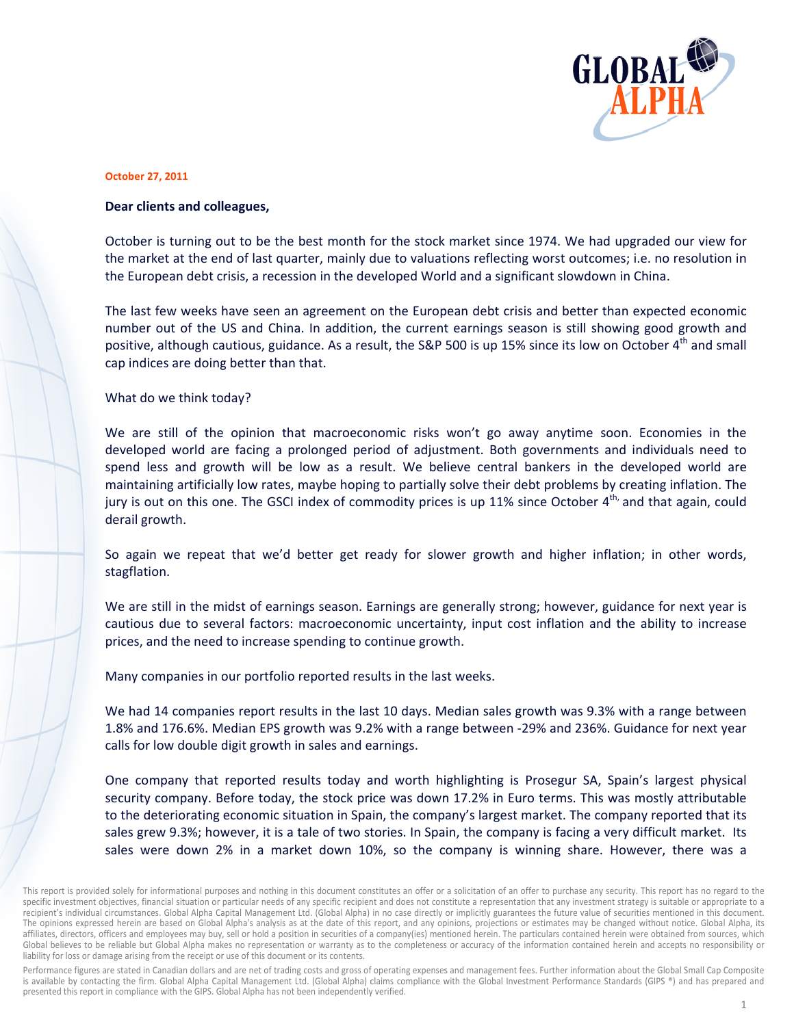

## **October 2 27, 2011**

## **Dear clients and colleagues,**

October is turning out to be the best month for the stock market since 1974. We had upgraded our view for the market at the end of last quarter, mainly due to valuations reflecting worst outcomes; i.e. no resolution in the European debt crisis, a recession in the developed World and a significant slowdown in China. n<br>ic

The last few weeks have seen an agreement on the European debt crisis and better than expected economi number out of the US and China. In addition, the current earnings season is still showing good growth and number out of the US and China. In addition, the current earnings season is still showing good growth and<br>positive, although cautious, guidance. As a result, the S&P 500 is up 15% since its low on October 4<sup>th</sup> and small cap indices are doing better than that.

What do we think today?

We are still of the opinion that macroeconomic risks won't go away anytime soon. Economies in the developed world are facing a prolonged period of adjustment. Both governments and individuals need to spend less and growth will be low as a result. We believe central bankers in the developed world are maintaining artificially low rates, maybe hoping to partially solve their debt problems by creating inflation. The jury is out on this one. The GSCI index of commodity prices is up 11% since October 4<sup>th,</sup> and that again, could derail g rowth. eoeeed<br>eeed<br>s,

So again we repeat that we'd better get ready for slower growth and higher inflation; in other words stagflat ion.

We are still in the midst of earnings season. Earnings are generally strong; however, guidance for next year is cautious due to several factors: macroeconomic uncertainty, input cost inflation and the ability to increase prices, and the need to increase spending to continue growth.

Many companies in our portfolio reported results in the last weeks.

We had 14 companies report results in the last 10 days. Median sales growth was 9.3% with a range between 1.8% and 176.6%. Median EPS growth was 9.2% with a range between -29% and 236%. Guidance for next yea calls for low double digit growth in sales and earnings. e<br>n<br>ir

One company that reported results today and worth highlighting is Prosegur SA, Spain's largest physical security company. Before today, the stock price was down 17.2% in Euro terms. This was mostly attributable<br>to the deteriorating economic situation in Spain, the company's largest market. The company reported that its to the deteriorating economic situation in Spain, the company's largest market. The company reported that it sales grew 9.3%; however, it is a tale of two stories. In Spain, the company is facing a very difficult market. Its sales were down 2% in a market down 10%, so the company is winning share. However, there was a

Performance figures are stated in Canadian dollars and are net of trading costs and gross of operating expenses and management fees. Further information about the Global Small Cap Composite is available by contacting the firm. Global Alpha Capital Management Ltd. (Global Alpha) claims compliance with the Global Investment Performance Standards (GIPS ®) and has prepared and presented this report in compliance with the GIPS. Global Alpha has not been independently verified.

This report is provided solely for informational purposes and nothing in this document constitutes an offer or a solicitation of an offer to purchase any security. This report has no regard to the specific investment objectives, financial situation or particular needs of any specific recipient and does not constitute a representation that any investment strategy is suitable or appropriate to a recipient's individual circumstances. Global Alpha Capital Management Ltd. (Global Alpha) in no case directly or implicitly guarantees the future value of securities mentioned in this document. The opinions expressed herein are based on Global Alpha's analysis as at the date of this report, and any opinions, projections or estimates may be changed without notice. Global Alpha, its affiliates, directors, officers and employees may buy, sell or hold a position in securities of a company(ies) mentioned herein. The particulars contained herein were obtained from sources, which Global believes to be reliable but Global Alpha makes no representation or warranty as to the completeness or accuracy of the information contained herein and accepts no responsibility or liability for loss or damage arising from the receipt or use of this document or its contents.